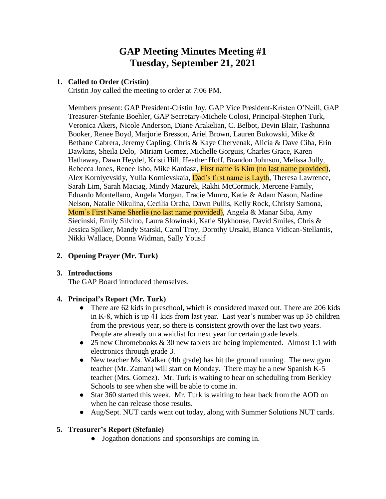# **GAP Meeting Minutes Meeting #1 Tuesday, September 21, 2021**

#### **1. Called to Order (Cristin)**

Cristin Joy called the meeting to order at 7:06 PM.

Members present: GAP President-Cristin Joy, GAP Vice President-Kristen O'Neill, GAP Treasurer-Stefanie Boehler, GAP Secretary-Michele Colosi, Principal-Stephen Turk, Veronica Akers, Nicole Anderson, Diane Arakelian, C. Belbot, Devin Blair, Tashunna Booker, Renee Boyd, Marjorie Bresson, Ariel Brown, Lauren Bukowski, Mike & Bethane Cabrera, Jeremy Capling, Chris & Kaye Chervenak, Alicia & Dave Ciha, Erin Dawkins, Sheila Delo, Miriam Gomez, Michelle Gorguis, Charles Grace, Karen Hathaway, Dawn Heydel, Kristi Hill, Heather Hoff, Brandon Johnson, Melissa Jolly, Rebecca Jones, Renee Isho, Mike Kardasz, First name is Kim (no last name provided), Alex Korniyevskiy, Yulia Kornievskaia, Dad's first name is Layth, Theresa Lawrence, Sarah Lim, Sarah Maciag, Mindy Mazurek, Rakhi McCormick, Mercene Family, Eduardo Montellano, Angela Morgan, Tracie Munro, Katie & Adam Nason, Nadine Nelson, Natalie Nikulina, Cecilia Oraha, Dawn Pullis, Kelly Rock, Christy Samona, Mom's First Name Sherlie (no last name provided), Angela & Manar Siba, Amy Siecinski, Emily Silvino, Laura Slowinski, Katie Slykhouse, David Smiles, Chris & Jessica Spilker, Mandy Starski, Carol Troy, Dorothy Ursaki, Bianca Vidican-Stellantis, Nikki Wallace, Donna Widman, Sally Yousif

## **2. Opening Prayer (Mr. Turk)**

#### **3. Introductions**

The GAP Board introduced themselves.

## **4. Principal's Report (Mr. Turk)**

- There are 62 kids in preschool, which is considered maxed out. There are 206 kids in K-8, which is up 41 kids from last year. Last year's number was up 35 children from the previous year, so there is consistent growth over the last two years. People are already on a waitlist for next year for certain grade levels.
- 25 new Chromebooks & 30 new tablets are being implemented. Almost 1:1 with electronics through grade 3.
- New teacher Ms. Walker (4th grade) has hit the ground running. The new gym teacher (Mr. Zaman) will start on Monday. There may be a new Spanish K-5 teacher (Mrs. Gomez). Mr. Turk is waiting to hear on scheduling from Berkley Schools to see when she will be able to come in.
- Star 360 started this week. Mr. Turk is waiting to hear back from the AOD on when he can release those results.
- Aug/Sept. NUT cards went out today, along with Summer Solutions NUT cards.

## **5. Treasurer's Report (Stefanie)**

● Jogathon donations and sponsorships are coming in.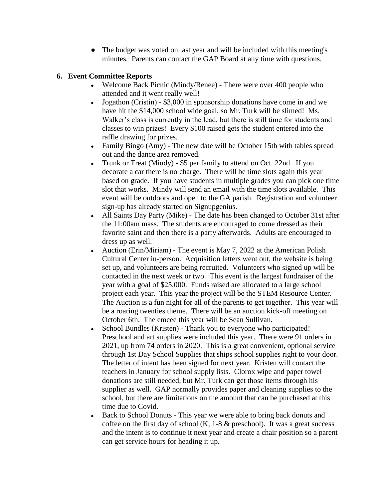• The budget was voted on last year and will be included with this meeting's minutes. Parents can contact the GAP Board at any time with questions.

#### **6. Event Committee Reports**

- Welcome Back Picnic (Mindy/Renee) There were over 400 people who attended and it went really well!
- Jogathon (Cristin)  $$3,000$  in sponsorship donations have come in and we have hit the \$14,000 school wide goal, so Mr. Turk will be slimed! Ms. Walker's class is currently in the lead, but there is still time for students and classes to win prizes! Every \$100 raised gets the student entered into the raffle drawing for prizes.
- Family Bingo (Amy) The new date will be October 15th with tables spread out and the dance area removed.
- Trunk or Treat (Mindy) \$5 per family to attend on Oct. 22nd. If you decorate a car there is no charge. There will be time slots again this year based on grade. If you have students in multiple grades you can pick one time slot that works. Mindy will send an email with the time slots available. This event will be outdoors and open to the GA parish. Registration and volunteer sign-up has already started on Signupgenius.
- All Saints Day Party (Mike) The date has been changed to October 31st after the 11:00am mass. The students are encouraged to come dressed as their favorite saint and then there is a party afterwards. Adults are encouraged to dress up as well.
- Auction (Erin/Miriam) The event is May 7, 2022 at the American Polish Cultural Center in-person. Acquisition letters went out, the website is being set up, and volunteers are being recruited. Volunteers who signed up will be contacted in the next week or two. This event is the largest fundraiser of the year with a goal of \$25,000. Funds raised are allocated to a large school project each year. This year the project will be the STEM Resource Center. The Auction is a fun night for all of the parents to get together. This year will be a roaring twenties theme. There will be an auction kick-off meeting on October 6th. The emcee this year will be Sean Sullivan.
- School Bundles (Kristen) Thank you to everyone who participated! Preschool and art supplies were included this year. There were 91 orders in 2021, up from 74 orders in 2020. This is a great convenient, optional service through 1st Day School Supplies that ships school supplies right to your door. The letter of intent has been signed for next year. Kristen will contact the teachers in January for school supply lists. Clorox wipe and paper towel donations are still needed, but Mr. Turk can get those items through his supplier as well. GAP normally provides paper and cleaning supplies to the school, but there are limitations on the amount that can be purchased at this time due to Covid.
- Back to School Donuts This year we were able to bring back donuts and coffee on the first day of school  $(K, 1-8 \&$  preschool). It was a great success and the intent is to continue it next year and create a chair position so a parent can get service hours for heading it up.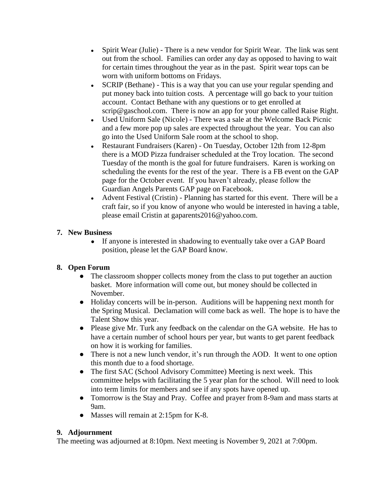- Spirit Wear (Julie) There is a new vendor for Spirit Wear. The link was sent out from the school. Families can order any day as opposed to having to wait for certain times throughout the year as in the past. Spirit wear tops can be worn with uniform bottoms on Fridays.
- SCRIP (Bethane) This is a way that you can use your regular spending and put money back into tuition costs. A percentage will go back to your tuition account. Contact Bethane with any questions or to get enrolled at scrip@gaschool.com. There is now an app for your phone called Raise Right.
- Used Uniform Sale (Nicole) There was a sale at the Welcome Back Picnic and a few more pop up sales are expected throughout the year. You can also go into the Used Uniform Sale room at the school to shop.
- Restaurant Fundraisers (Karen) On Tuesday, October 12th from 12-8pm there is a MOD Pizza fundraiser scheduled at the Troy location. The second Tuesday of the month is the goal for future fundraisers. Karen is working on scheduling the events for the rest of the year. There is a FB event on the GAP page for the October event. If you haven't already, please follow the Guardian Angels Parents GAP page on Facebook.
- Advent Festival (Cristin) Planning has started for this event. There will be a craft fair, so if you know of anyone who would be interested in having a table, please email Cristin at gaparents2016@yahoo.com.

## **7. New Business**

● If anyone is interested in shadowing to eventually take over a GAP Board position, please let the GAP Board know.

# **8. Open Forum**

- The classroom shopper collects money from the class to put together an auction basket. More information will come out, but money should be collected in November.
- Holiday concerts will be in-person. Auditions will be happening next month for the Spring Musical. Declamation will come back as well. The hope is to have the Talent Show this year.
- Please give Mr. Turk any feedback on the calendar on the GA website. He has to have a certain number of school hours per year, but wants to get parent feedback on how it is working for families.
- There is not a new lunch vendor, it's run through the AOD. It went to one option this month due to a food shortage.
- The first SAC (School Advisory Committee) Meeting is next week. This committee helps with facilitating the 5 year plan for the school. Will need to look into term limits for members and see if any spots have opened up.
- Tomorrow is the Stay and Pray. Coffee and prayer from 8-9am and mass starts at 9am.
- Masses will remain at 2:15pm for K-8.

# **9. Adjournment**

The meeting was adjourned at 8:10pm. Next meeting is November 9, 2021 at 7:00pm.